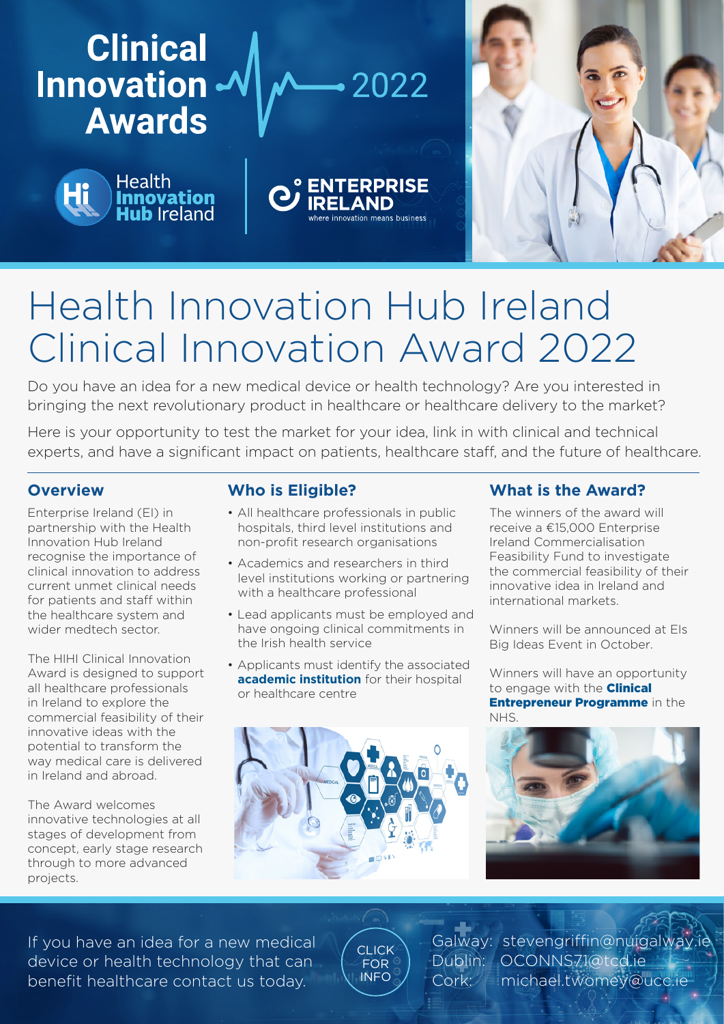

# Health Innovation Hub Ireland Clinical Innovation Award 2022

Do you have an idea for a new medical device or health technology? Are you interested in bringing the next revolutionary product in healthcare or healthcare delivery to the market?

Here is your opportunity to test the market for your idea, link in with clinical and technical experts, and have a significant impact on patients, healthcare staff, and the future of healthcare.

### **Overview**

Enterprise Ireland (EI) in partnership with the Health Innovation Hub Ireland recognise the importance of clinical innovation to address current unmet clinical needs for patients and staff within the healthcare system and wider medtech sector.

The HIHI Clinical Innovation Award is designed to support all healthcare professionals in Ireland to explore the commercial feasibility of their innovative ideas with the potential to transform the way medical care is delivered in Ireland and abroad.

The Award welcomes innovative technologies at all stages of development from concept, early stage research through to more advanced projects.

## **Who is Eligible?**

- All healthcare professionals in public hospitals, third level institutions and non-profit research organisations
- Academics and researchers in third level institutions working or partnering with a healthcare professional
- Lead applicants must be employed and have ongoing clinical commitments in the Irish health service
- Applicants must identify the associated **[academic institution](https://www.gov.ie/en/service/colleges-and-universities-in-ireland/)** for their hospital or healthcare centre



### **What is the Award?**

The winners of the award will receive a €15,000 Enterprise Ireland Commercialisation Feasibility Fund to investigate the commercial feasibility of their innovative idea in Ireland and international markets.

Winners will be announced at EIs Big Ideas Event in October.

Winners will have an opportunity to engage with the **Clinical** [Entrepreneur Programme](https://nhscep.com/) in the NHS.



If you have an idea for a new medical device or health technology that can benefit healthcare contact us today.

[CLICK](https://hih.ie/engage/clinical-innovation-award/)  FOR INFO

Galway: stevengriffin@nuigalway Dublin: OCONNS71@tcd.ie Cork: michael.twomey@ucc.ie